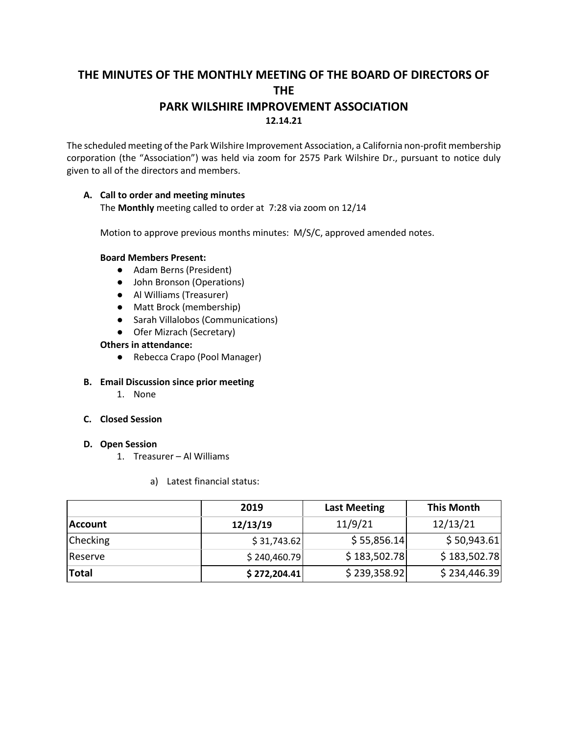# **THE MINUTES OF THE MONTHLY MEETING OF THE BOARD OF DIRECTORS OF THE PARK WILSHIRE IMPROVEMENT ASSOCIATION 12.14.21**

The scheduled meeting of the Park Wilshire Improvement Association, a California non-profit membership corporation (the "Association") was held via zoom for 2575 Park Wilshire Dr., pursuant to notice duly given to all of the directors and members.

#### **A. Call to order and meeting minutes** The **Monthly** meeting called to order at 7:28 via zoom on 12/14

Motion to approve previous months minutes: M/S/C, approved amended notes.

### **Board Members Present:**

- Adam Berns (President)
- John Bronson (Operations)
- Al Williams (Treasurer)
- Matt Brock (membership)
- Sarah Villalobos (Communications)
- Ofer Mizrach (Secretary)

### **Others in attendance:**

● Rebecca Crapo (Pool Manager)

## **B. Email Discussion since prior meeting**

- 1. None
- **C. Closed Session**

#### **D. Open Session**

- 1. Treasurer Al Williams
	- a) Latest financial status:

|                 | 2019         | <b>Last Meeting</b> | <b>This Month</b> |
|-----------------|--------------|---------------------|-------------------|
| <b>Account</b>  | 12/13/19     | 11/9/21             | 12/13/21          |
| <b>Checking</b> | \$31,743.62  | \$55,856.14         | \$50,943.61       |
| Reserve         | \$240,460.79 | \$183,502.78        | \$183,502.78      |
| Total           | \$272,204.41 | \$239,358.92        | \$234,446.39      |